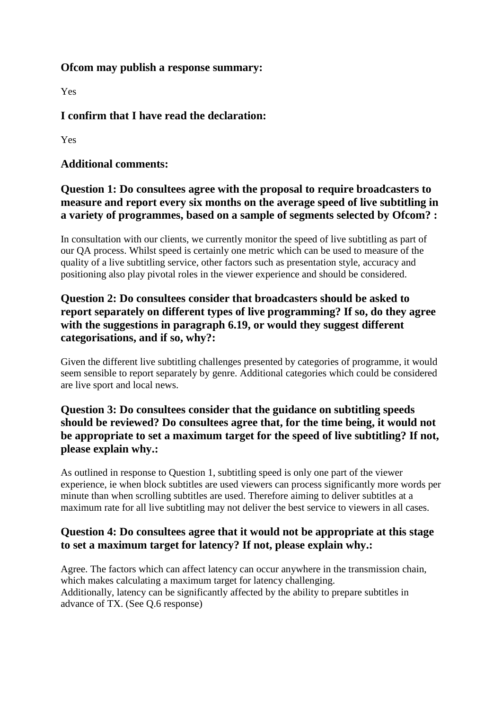#### **Ofcom may publish a response summary:**

Yes

# **I confirm that I have read the declaration:**

Yes

### **Additional comments:**

## **Question 1: Do consultees agree with the proposal to require broadcasters to measure and report every six months on the average speed of live subtitling in a variety of programmes, based on a sample of segments selected by Ofcom? :**

In consultation with our clients, we currently monitor the speed of live subtitling as part of our QA process. Whilst speed is certainly one metric which can be used to measure of the quality of a live subtitling service, other factors such as presentation style, accuracy and positioning also play pivotal roles in the viewer experience and should be considered.

# **Question 2: Do consultees consider that broadcasters should be asked to report separately on different types of live programming? If so, do they agree with the suggestions in paragraph 6.19, or would they suggest different categorisations, and if so, why?:**

Given the different live subtitling challenges presented by categories of programme, it would seem sensible to report separately by genre. Additional categories which could be considered are live sport and local news.

# **Question 3: Do consultees consider that the guidance on subtitling speeds should be reviewed? Do consultees agree that, for the time being, it would not be appropriate to set a maximum target for the speed of live subtitling? If not, please explain why.:**

As outlined in response to Question 1, subtitling speed is only one part of the viewer experience, ie when block subtitles are used viewers can process significantly more words per minute than when scrolling subtitles are used. Therefore aiming to deliver subtitles at a maximum rate for all live subtitling may not deliver the best service to viewers in all cases.

### **Question 4: Do consultees agree that it would not be appropriate at this stage to set a maximum target for latency? If not, please explain why.:**

Agree. The factors which can affect latency can occur anywhere in the transmission chain, which makes calculating a maximum target for latency challenging. Additionally, latency can be significantly affected by the ability to prepare subtitles in advance of TX. (See Q.6 response)